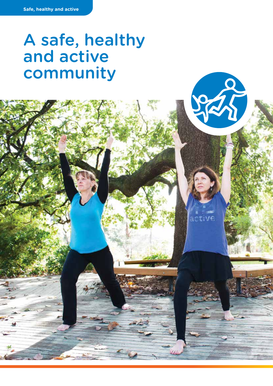# A safe, healthy and active community

S

active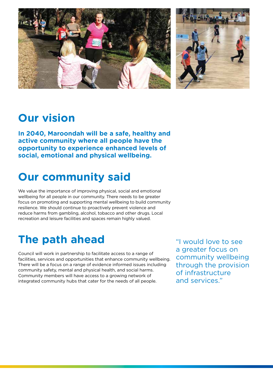

## **Our vision**

**In 2040, Maroondah will be a safe, healthy and active community where all people have the opportunity to experience enhanced levels of social, emotional and physical wellbeing.**

# **Our community said**

We value the importance of improving physical, social and emotional wellbeing for all people in our community. There needs to be greater focus on promoting and supporting mental wellbeing to build community resilience. We should continue to proactively prevent violence and reduce harms from gambling, alcohol, tobacco and other drugs. Local recreation and leisure facilities and spaces remain highly valued.

# **The path ahead**

Council will work in partnership to facilitate access to a range of facilities, services and opportunities that enhance community wellbeing. There will be a focus on a range of evidence informed issues including community safety, mental and physical health, and social harms. Community members will have access to a growing network of integrated community hubs that cater for the needs of all people.

"I would love to see a greater focus on community wellbeing through the provision of infrastructure and services."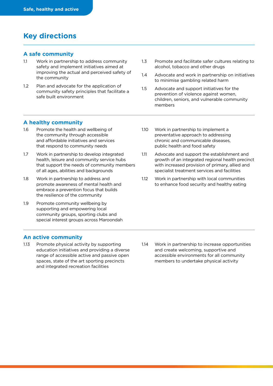### **Key directions**

### **A safe community**

- 1.1 Work in partnership to address community safety and implement initiatives aimed at improving the actual and perceived safety of the community
- 1.2 Plan and advocate for the application of community safety principles that facilitate a safe built environment
- 1.3 Promote and facilitate safer cultures relating to alcohol, tobacco and other drugs
- 1.4 Advocate and work in partnership on initiatives to minimise gambling related harm
- 1.5 Advocate and support initiatives for the prevention of violence against women, children, seniors, and vulnerable community members

### **A healthy community**

- 1.6 Promote the health and wellbeing of the community through accessible and affordable initiatives and services that respond to community needs
- 1.7 Work in partnership to develop integrated health, leisure and community service hubs that support the needs of community members of all ages, abilities and backgrounds
- 1.8 Work in partnership to address and promote awareness of mental health and embrace a prevention focus that builds the resilience of the community
- 1.9 Promote community wellbeing by supporting and empowering local community groups, sporting clubs and special interest groups across Maroondah
- 1.10 Work in partnership to implement a preventative approach to addressing chronic and communicable diseases, public health and food safety
- 1.11 Advocate and support the establishment and growth of an integrated regional health precinct with increased provision of primary, allied and specialist treatment services and facilities
- 1.12 Work in partnership with local communities to enhance food security and healthy eating

#### **An active community**

- 1.13 Promote physical activity by supporting education initiatives and providing a diverse range of accessible active and passive open spaces, state of the art sporting precincts and integrated recreation facilities
- 1.14 Work in partnership to increase opportunities and create welcoming, supportive and accessible environments for all community members to undertake physical activity